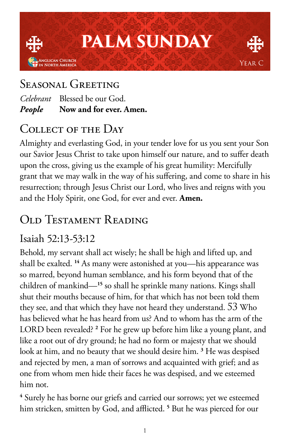

# Seasonal Greeting

*Celebrant* Blessed be our God. *People* **Now and for ever. Amen.**

# COLLECT OF THE DAY

Almighty and everlasting God, in your tender love for us you sent your Son our Savior Jesus Christ to take upon himself our nature, and to suffer death upon the cross, giving us the example of his great humility: Mercifully grant that we may walk in the way of his suffering, and come to share in his resurrection; through Jesus Christ our Lord, who lives and reigns with you and the Holy Spirit, one God, for ever and ever. **Amen.**

# Old Testament Reading

### Isaiah 52:13-53:12

Behold, my servant shall act wisely; he shall be high and lifted up, and shall be exalted. **<sup>14</sup>** As many were astonished at you—his appearance was so marred, beyond human semblance, and his form beyond that of the children of mankind—**<sup>15</sup>** so shall he sprinkle many nations. Kings shall shut their mouths because of him, for that which has not been told them they see, and that which they have not heard they understand. 53 Who has believed what he has heard from us? And to whom has the arm of the LORD been revealed? **<sup>2</sup>** For he grew up before him like a young plant, and like a root out of dry ground; he had no form or majesty that we should look at him, and no beauty that we should desire him. **<sup>3</sup>** He was despised and rejected by men, a man of sorrows and acquainted with grief; and as one from whom men hide their faces he was despised, and we esteemed him not.

**4** Surely he has borne our griefs and carried our sorrows; yet we esteemed him stricken, smitten by God, and afflicted. **<sup>5</sup>** But he was pierced for our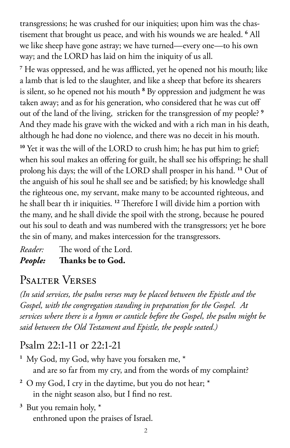transgressions; he was crushed for our iniquities; upon him was the chastisement that brought us peace, and with his wounds we are healed. **<sup>6</sup>** All we like sheep have gone astray; we have turned—every one—to his own way; and the LORD has laid on him the iniquity of us all.

**7** He was oppressed, and he was afflicted, yet he opened not his mouth; like a lamb that is led to the slaughter, and like a sheep that before its shearers is silent, so he opened not his mouth <sup>8</sup> By oppression and judgment he was taken away; and as for his generation, who considered that he was cut off out of the land of the living, stricken for the transgression of my people? **<sup>9</sup>** And they made his grave with the wicked and with a rich man in his death, although he had done no violence, and there was no deceit in his mouth.

<sup>10</sup> Yet it was the will of the LORD to crush him; he has put him to grief; when his soul makes an offering for guilt, he shall see his offspring; he shall prolong his days; the will of the LORD shall prosper in his hand. **<sup>11</sup>** Out of the anguish of his soul he shall see and be satisfied; by his knowledge shall the righteous one, my servant, make many to be accounted righteous, and he shall bear th ir iniquities. **<sup>12</sup>** Therefore I will divide him a portion with the many, and he shall divide the spoil with the strong, because he poured out his soul to death and was numbered with the transgressors; yet he bore the sin of many, and makes intercession for the transgressors.

*Reader:* The word of the Lord. *People:* **Thanks be to God.** 

# Psalter Verses

*(In said services, the psalm verses may be placed between the Epistle and the Gospel, with the congregation standing in preparation for the Gospel. At services where there is a hymn or canticle before the Gospel, the psalm might be said between the Old Testament and Epistle, the people seated.)*

### Psalm 22:1-11 or 22:1-21

**<sup>1</sup>** My God, my God, why have you forsaken me, \* and are so far from my cry, and from the words of my complaint?

- **<sup>2</sup>** O my God, I cry in the daytime, but you do not hear; \* in the night season also, but I find no rest.
- **<sup>3</sup>** But you remain holy, \* enthroned upon the praises of Israel.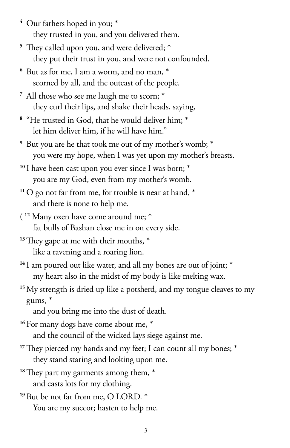- **<sup>4</sup>** Our fathers hoped in you; \* they trusted in you, and you delivered them.
- **<sup>5</sup>** They called upon you, and were delivered; \* they put their trust in you, and were not confounded.
- **<sup>6</sup>** But as for me, I am a worm, and no man, \* scorned by all, and the outcast of the people.
- **<sup>7</sup>** All those who see me laugh me to scorn; \* they curl their lips, and shake their heads, saying,
- **<sup>8</sup>** "He trusted in God, that he would deliver him; \* let him deliver him, if he will have him."
- **<sup>9</sup>** But you are he that took me out of my mother's womb; \* you were my hope, when I was yet upon my mother's breasts.
- <sup>10</sup> I have been cast upon you ever since I was born;  $*$ you are my God, even from my mother's womb.
- **<sup>11</sup>** O go not far from me, for trouble is near at hand, \* and there is none to help me.
- ( **<sup>12</sup>** Many oxen have come around me; \* fat bulls of Bashan close me in on every side.
- **<sup>13</sup>**They gape at me with their mouths, \* like a ravening and a roaring lion.
- <sup>14</sup> I am poured out like water, and all my bones are out of joint; \* my heart also in the midst of my body is like melting wax.
- <sup>15</sup> My strength is dried up like a potsherd, and my tongue cleaves to my gums, \*
	- and you bring me into the dust of death.
- <sup>16</sup> For many dogs have come about me,  $*$ and the council of the wicked lays siege against me.
- <sup>17</sup>They pierced my hands and my feet; I can count all my bones; \* they stand staring and looking upon me.
- **<sup>18</sup>**They part my garments among them, \* and casts lots for my clothing.
- **<sup>19</sup>** But be not far from me, O LORD. \* You are my succor; hasten to help me.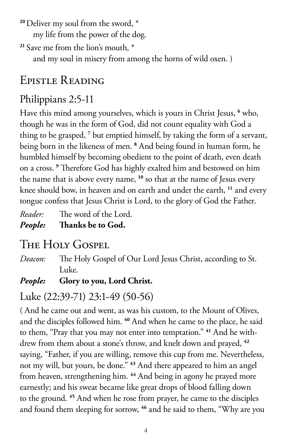**<sup>20</sup>**Deliver my soul from the sword, \* my life from the power of the dog.

**<sup>21</sup>** Save me from the lion's mouth, \* and my soul in misery from among the horns of wild oxen. )

# Epistle Reading

## Philippians 2:5-11

Have this mind among yourselves, which is yours in Christ Jesus, **<sup>6</sup>** who, though he was in the form of God, did not count equality with God a thing to be grasped,<sup>7</sup> but emptied himself, by taking the form of a servant, being born in the likeness of men. **<sup>8</sup>** And being found in human form, he humbled himself by becoming obedient to the point of death, even death on a cross. **<sup>9</sup>** Therefore God has highly exalted him and bestowed on him the name that is above every name, **<sup>10</sup>** so that at the name of Jesus every knee should bow, in heaven and on earth and under the earth, **<sup>11</sup>** and every tongue confess that Jesus Christ is Lord, to the glory of God the Father.

*Reader:* The word of the Lord. *People:* **Thanks be to God.** 

# THE HOLY GOSPEL

*Deacon:* The Holy Gospel of Our Lord Jesus Christ, according to St. Luke.

#### *People:* **Glory to you, Lord Christ.**

## Luke (22:39-71) 23:1-49 (50-56)

( And he came out and went, as was his custom, to the Mount of Olives, and the disciples followed him. **<sup>40</sup>** And when he came to the place, he said to them, "Pray that you may not enter into temptation." **41** And he withdrew from them about a stone's throw, and knelt down and prayed, **<sup>42</sup>** saying, "Father, if you are willing, remove this cup from me. Nevertheless, not my will, but yours, be done." **<sup>43</sup>** And there appeared to him an angel from heaven, strengthening him. **<sup>44</sup>** And being in agony he prayed more earnestly; and his sweat became like great drops of blood falling down to the ground. **<sup>45</sup>** And when he rose from prayer, he came to the disciples and found them sleeping for sorrow, **46** and he said to them, "Why are you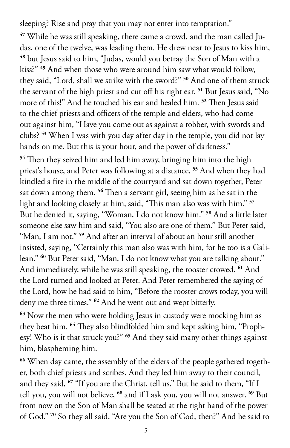sleeping? Rise and pray that you may not enter into temptation."

**47** While he was still speaking, there came a crowd, and the man called Judas, one of the twelve, was leading them. He drew near to Jesus to kiss him, **<sup>48</sup>** but Jesus said to him, "Judas, would you betray the Son of Man with a kiss?" **<sup>49</sup>** And when those who were around him saw what would follow, they said, "Lord, shall we strike with the sword?" **<sup>50</sup>** And one of them struck the servant of the high priest and cut off his right ear. **<sup>51</sup>** But Jesus said, "No more of this!" And he touched his ear and healed him. **<sup>52</sup>** Then Jesus said to the chief priests and officers of the temple and elders, who had come out against him, "Have you come out as against a robber, with swords and clubs? **<sup>53</sup>** When I was with you day after day in the temple, you did not lay hands on me. But this is your hour, and the power of darkness."

**<sup>54</sup>** Then they seized him and led him away, bringing him into the high priest's house, and Peter was following at a distance. **<sup>55</sup>** And when they had kindled a fire in the middle of the courtyard and sat down together, Peter sat down among them. **<sup>56</sup>** Then a servant girl, seeing him as he sat in the light and looking closely at him, said, "This man also was with him." **<sup>57</sup>** But he denied it, saying, "Woman, I do not know him." **<sup>58</sup>** And a little later someone else saw him and said, "You also are one of them." But Peter said, "Man, I am not." **<sup>59</sup>** And after an interval of about an hour still another insisted, saying, "Certainly this man also was with him, for he too is a Galilean." **<sup>60</sup>** But Peter said, "Man, I do not know what you are talking about." And immediately, while he was still speaking, the rooster crowed. **<sup>61</sup>** And the Lord turned and looked at Peter. And Peter remembered the saying of the Lord, how he had said to him, "Before the rooster crows today, you will deny me three times." **<sup>62</sup>** And he went out and wept bitterly.

**<sup>63</sup>** Now the men who were holding Jesus in custody were mocking him as they beat him. **64** They also blindfolded him and kept asking him, "Prophesy! Who is it that struck you?" **<sup>65</sup>** And they said many other things against him, blaspheming him.

**66** When day came, the assembly of the elders of the people gathered together, both chief priests and scribes. And they led him away to their council, and they said, **<sup>67</sup>** "If you are the Christ, tell us." But he said to them, "If I tell you, you will not believe, **<sup>68</sup>** and if I ask you, you will not answer. **<sup>69</sup>** But from now on the Son of Man shall be seated at the right hand of the power of God." **70** So they all said, "Are you the Son of God, then?" And he said to

5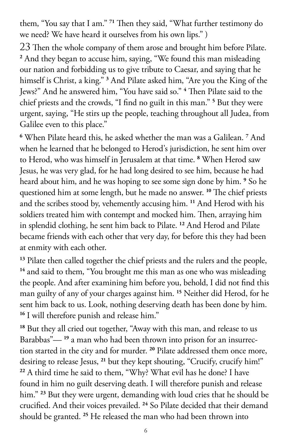them, "You say that I am." **<sup>71</sup>** Then they said, "What further testimony do we need? We have heard it ourselves from his own lips." )

23 Then the whole company of them arose and brought him before Pilate. **<sup>2</sup>** And they began to accuse him, saying, "We found this man misleading our nation and forbidding us to give tribute to Caesar, and saying that he himself is Christ, a king." **<sup>3</sup>** And Pilate asked him, "Are you the King of the Jews?" And he answered him, "You have said so." **<sup>4</sup>** Then Pilate said to the chief priests and the crowds, "I find no guilt in this man." **<sup>5</sup>** But they were urgent, saying, "He stirs up the people, teaching throughout all Judea, from Galilee even to this place."

**6** When Pilate heard this, he asked whether the man was a Galilean. **<sup>7</sup>** And when he learned that he belonged to Herod's jurisdiction, he sent him over to Herod, who was himself in Jerusalem at that time. **<sup>8</sup>** When Herod saw Jesus, he was very glad, for he had long desired to see him, because he had heard about him, and he was hoping to see some sign done by him. **<sup>9</sup>** So he questioned him at some length, but he made no answer. **<sup>10</sup>** The chief priests and the scribes stood by, vehemently accusing him. **<sup>11</sup>** And Herod with his soldiers treated him with contempt and mocked him. Then, arraying him in splendid clothing, he sent him back to Pilate. **<sup>12</sup>** And Herod and Pilate became friends with each other that very day, for before this they had been at enmity with each other.

<sup>13</sup> Pilate then called together the chief priests and the rulers and the people, <sup>14</sup> and said to them, "You brought me this man as one who was misleading the people. And after examining him before you, behold, I did not find this man guilty of any of your charges against him. **<sup>15</sup>** Neither did Herod, for he sent him back to us. Look, nothing deserving death has been done by him. **<sup>16</sup>** I will therefore punish and release him."

**<sup>18</sup>** But they all cried out together, "Away with this man, and release to us Barabbas"— **19** a man who had been thrown into prison for an insurrection started in the city and for murder. **<sup>20</sup>** Pilate addressed them once more, desiring to release Jesus, **21** but they kept shouting, "Crucify, crucify him!" **<sup>22</sup>** A third time he said to them, "Why? What evil has he done? I have found in him no guilt deserving death. I will therefore punish and release him." **<sup>23</sup>** But they were urgent, demanding with loud cries that he should be crucified. And their voices prevailed. **<sup>24</sup>** So Pilate decided that their demand should be granted. **25** He released the man who had been thrown into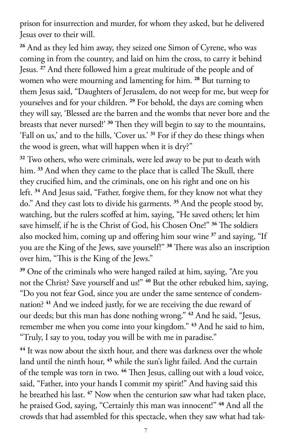prison for insurrection and murder, for whom they asked, but he delivered Jesus over to their will.

**<sup>26</sup>** And as they led him away, they seized one Simon of Cyrene, who was coming in from the country, and laid on him the cross, to carry it behind Jesus. **<sup>27</sup>** And there followed him a great multitude of the people and of women who were mourning and lamenting for him. **<sup>28</sup>** But turning to them Jesus said, "Daughters of Jerusalem, do not weep for me, but weep for yourselves and for your children. **<sup>29</sup>** For behold, the days are coming when they will say, 'Blessed are the barren and the wombs that never bore and the breasts that never nursed!' **<sup>30</sup>** Then they will begin to say to the mountains, 'Fall on us,' and to the hills, 'Cover us.' **<sup>31</sup>** For if they do these things when the wood is green, what will happen when it is dry?"

**<sup>32</sup>** Two others, who were criminals, were led away to be put to death with him. **<sup>33</sup>** And when they came to the place that is called The Skull, there they crucified him, and the criminals, one on his right and one on his left. **<sup>34</sup>** And Jesus said, "Father, forgive them, for they know not what they do." And they cast lots to divide his garments. **<sup>35</sup>** And the people stood by, watching, but the rulers scoffed at him, saying, "He saved others; let him save himself, if he is the Christ of God, his Chosen One!" **<sup>36</sup>** The soldiers also mocked him, coming up and offering him sour wine **<sup>37</sup>** and saying, "If you are the King of the Jews, save yourself!" **<sup>38</sup>** There was also an inscription over him, "This is the King of the Jews."

**<sup>39</sup>** One of the criminals who were hanged railed at him, saying, "Are you not the Christ? Save yourself and us!" **<sup>40</sup>** But the other rebuked him, saying, "Do you not fear God, since you are under the same sentence of condemnation? **<sup>41</sup>** And we indeed justly, for we are receiving the due reward of our deeds; but this man has done nothing wrong." **<sup>42</sup>** And he said, "Jesus, remember me when you come into your kingdom." **<sup>43</sup>** And he said to him, "Truly, I say to you, today you will be with me in paradise."

**<sup>44</sup>** It was now about the sixth hour, and there was darkness over the whole land until the ninth hour, **<sup>45</sup>** while the sun's light failed. And the curtain of the temple was torn in two. **<sup>46</sup>** Then Jesus, calling out with a loud voice, said, "Father, into your hands I commit my spirit!" And having said this he breathed his last. **<sup>47</sup>** Now when the centurion saw what had taken place, he praised God, saying, "Certainly this man was innocent!" **<sup>48</sup>** And all the crowds that had assembled for this spectacle, when they saw what had tak-

7